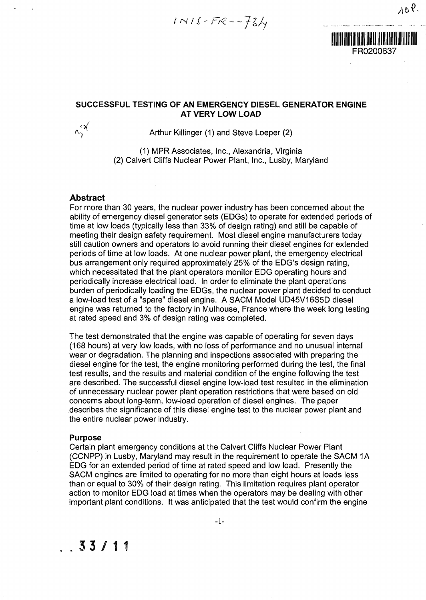$INIS-FR--734$ 



## **SUCCESSFUL TESTING OF AN EMERGENCY DIESEL GENERATOR ENGINE AT VERY LOW LOAD**



Arthur Killinger (1) and Steve Loeper (2)

(1) MPR Associates, Inc., Alexandria, Virginia (2) Calvert Cliffs Nuclear Power Plant, Inc., Lusby, Maryland

# Abstract

For more than 30 years, the nuclear power industry has been concerned about the ability of emergency diesel generator sets (EDGs) to operate for extended periods of time at low loads (typically less than 33% of design rating) and still be capable of meeting their design safety requirement. Most diesel engine manufacturers today still caution owners and operators to avoid running their diesel engines for extended periods of time at low loads. At one nuclear power plant, the emergency electrical bus arrangement only required approximately 25% of the EDG's design rating, which necessitated that the plant operators monitor EDG operating hours and periodically increase electrical load. In order to eliminate the plant operations burden of periodically loading the EDGs, the nuclear power plant decided to conduct a low-load test of a "spare" diesel engine. A SACM Model UD45V16S5D diesel engine was returned to the factory in Mulhouse, France where the week long testing at rated speed and 3% of design rating was completed.

The test demonstrated that the engine was capable of operating for seven days (168 hours) at very low loads, with no loss of performance and no unusual internal wear or degradation. The planning and inspections associated with preparing the diesel engine for the test, the engine monitoring performed during the test, the final test results, and the results and material condition of the engine following the test are described. The successful diesel engine low-load test resulted in the elimination of unnecessary nuclear power plant operation restrictions that were based on old concerns about long-term, low-load operation of diesel engines. The paper describes the significance of this diesel engine test to the nuclear power plant and the entire nuclear power industry.

### **Purpose**

Certain plant emergency conditions at the Calvert Cliffs Nuclear Power Plant (CCNPP) in Lusby, Maryland may result in the requirement to operate the SACM 1A EDG for an extended period of time at rated speed and low load. Presently the SACM engines are limited to operating for no more than eight hours at loads less than or equal to 30% of their design rating. This limitation requires plant operator action to monitor EDG load at times when the operators may be dealing with other important plant conditions. It was anticipated that the test would confirm the engine



# .33/1 1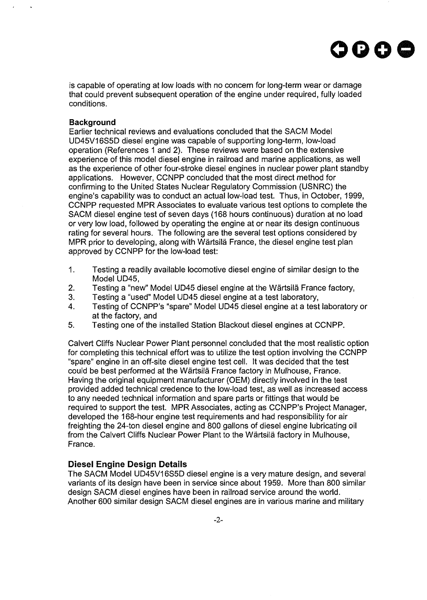

is capable of operating at low loads with no concern for long-term wear or damage that could prevent subsequent operation of the engine under required, fully loaded conditions.

#### **Background**

Earlier technical reviews and evaluations concluded that the SACM Model UD45V16S5D diesel engine was capable of supporting long-term, low-load operation (References 1 and 2). These reviews were based on the extensive experience of this model diesel engine in railroad and marine applications, as well as the experience of other four-stroke diesel engines in nuclear power plant standby applications. However, CCNPP concluded that the most direct method for confirming to the United States Nuclear Regulatory Commission (USNRC) the engine's capability was to conduct an actual low-load test. Thus, in October, 1999, CCNPP requested MPR Associates to evaluate various test options to complete the SACM diesel engine test of seven days (168 hours continuous) duration at no load or very low load, followed by operating the engine at or near its design continuous rating for several hours. The following are the several test options considered by MPR prior to developing, along with Wärtsilä France, the diesel engine test plan approved by CCNPP for the low-load test:

- 1. Testing a readily available locomotive diesel engine of similar design to the Model UD45,
- 2. Testing a "new" Model UD45 diesel engine at the Wartsila France factory,
- 3. Testing a "used" Model UD45 diesel engine at a test laboratory,
- 4. Testing of CCNPP's "spare" Model UD45 diesel engine at a test laboratory or at the factory, and
- 5. Testing one of the installed Station Blackout diesel engines at CCNPP.

Calvert Cliffs Nuclear Power Plant personnel concluded that the most realistic option for completing this technical effort was to utilize the test option involving the CCNPP "spare" engine in an off-site diesel engine test cell. It was decided that the test could be best performed at the Wartsila France factory in Mulhouse, France. Having the original equipment manufacturer (OEM) directly involved in the test provided added technical credence to the low-load test, as well as increased access to any needed technical information and spare parts or fittings that would be required to support the test. MPR Associates, acting as CCNPP's Project Manager, developed the 168-hour engine test requirements and had responsibility for air freighting the 24-ton diesel engine and 800 gallons of diesel engine lubricating oil from the Calvert Cliffs Nuclear Power Plant to the Wartsila factory in Mulhouse, France.

# **Diesel Engine Design Details**

The SACM Model UD45V16S5D diesel engine is a very mature design, and several variants of its design have been in service since about 1959. More than 800 similar design SACM diesel engines have been in railroad service around the world. Another 600 similar design SACM diesel engines are in various marine and military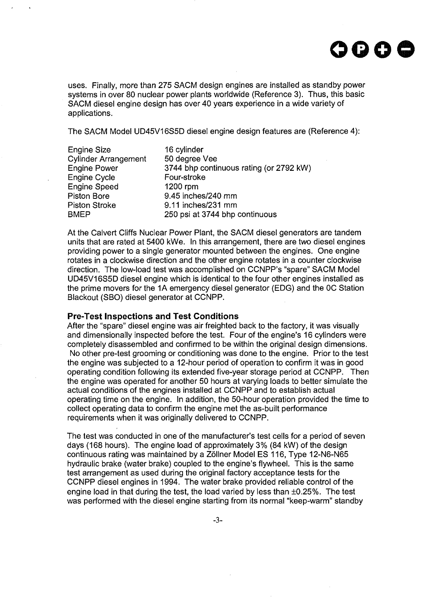

uses. Finally, more than 275 SACM design engines are installed as standby power systems in over 80 nuclear power plants worldwide (Reference 3). Thus, this basic SACM diesel engine design has over 40 years experience in a wide variety of applications.

The SACM Model UD45V16S5D diesel engine design features are (Reference 4):

| <b>Engine Size</b>          | 16 cylinder                             |
|-----------------------------|-----------------------------------------|
| <b>Cylinder Arrangement</b> | 50 degree Vee                           |
| <b>Engine Power</b>         | 3744 bhp continuous rating (or 2792 kW) |
| Engine Cycle                | Four-stroke                             |
| <b>Engine Speed</b>         | 1200 rpm                                |
| Piston Bore                 | 9.45 inches/240 mm                      |
| <b>Piston Stroke</b>        | 9.11 inches/231 mm                      |
| <b>BMEP</b>                 | 250 psi at 3744 bhp continuous          |

At the Calvert Cliffs Nuclear Power Plant, the SACM diesel generators are tandem units that are rated at 5400 kWe. In this arrangement, there are two diesel engines providing power to a single generator mounted between the engines. One engine rotates in a clockwise direction and the other engine rotates in a counter clockwise direction. The low-load test was accomplished on CCNPP's "spare" SACM Model UD45V16S5D diesel engine which is identical to the four other engines installed as the prime movers for the 1A emergency diesel generator (EDG) and the 0C Station Blackout (SBO) diesel generator at CCNPP.

#### **Pre-Test Inspections and Test Conditions**

After the "spare" diesel engine was air freighted back to the factory, it was visually and dimensionally inspected before the test. Four of the engine's 16 cylinders were completely disassembled and confirmed to be within the original design dimensions. No other pre-test grooming or conditioning was done to the engine. Prior to the test the engine was subjected to a 12-hour period of operation to confirm it was in good operating condition following its extended five-year storage period at CCNPP. Then the engine was operated for another 50 hours at varying loads to better simulate the actual conditions of the engines installed at CCNPP and to establish actual operating time on the engine. In addition, the 50-hour operation provided the time to collect operating data to confirm the engine met the as-built performance requirements when it was originally delivered to CCNPP.

The test was conducted in one of the manufacturer's test cells for a period of seven days (168 hours). The engine load of approximately 3% (84 kW) of the design continuous rating was maintained by a Zollner Model ES 116, Type 12-N6-N65 hydraulic brake (water brake) coupled to the engine's flywheel. This is the same test arrangement as used during the original factory acceptance tests for the CCNPP diesel engines in 1994. The water brake provided reliable control of the engine load in that during the test, the load varied by less than ±0.25%. The test was performed with the diesel engine starting from its normal "keep-warm" standby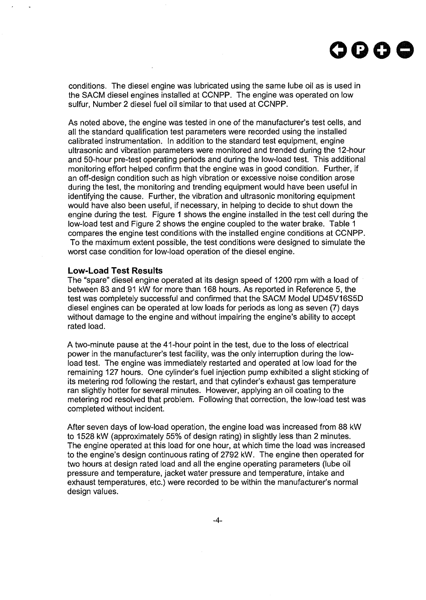

conditions. The diesel engine was lubricated using the same lube oil as is used in the SACM diesel engines installed at CCNPP. The engine was operated on low sulfur, Number 2 diesel fuel oil similar to that used at CCNPP.

As noted above, the engine was tested in one of the manufacturer's test cells, and all the standard qualification test parameters were recorded using the installed calibrated instrumentation. In addition to the standard test equipment, engine ultrasonic and vibration parameters were monitored and trended during the 12-hour and 50-hour pre-test operating periods and during the low-load test. This additional monitoring effort helped confirm that the engine was in good condition. Further, if an off-design condition such as high vibration or excessive noise condition arose during the test, the monitoring and trending equipment would have been useful in identifying the cause. Further, the vibration and ultrasonic monitoring equipment would have also been useful, if necessary, in helping to decide to shut down the engine during the test. Figure 1 shows the engine installed in the test cell during the low-load test and Figure 2 shows the engine coupled to the water brake. Table 1 compares the engine test conditions with the installed engine conditions at CCNPP. To the maximum extent possible, the test conditions were designed to simulate the worst case condition for low-load operation of the diesel engine.

#### **Low-Load Test Results**

The "spare" diesel engine operated at its design speed of 1200 rpm with a load of between 83 and 91 kW for more than 168 hours. As reported in Reference 5, the test was completely successful and confirmed that the SACM Model UD45V16S5D diesel engines can be operated at low loads for periods as long as seven (7) days without damage to the engine and without impairing the engine's ability to accept rated load.

A two-minute pause at the 41-hour point in the test, due to the loss of electrical power in the manufacturer's test facility, was the only interruption during the lowload test. The engine was immediately restarted and operated at low load for the remaining 127 hours. One cylinder's fuel injection pump exhibited a slight sticking of its metering rod following the restart, and that cylinder's exhaust gas temperature ran slightly hotter for several minutes. However, applying an oil coating to the metering rod resolved that problem. Following that correction, the low-load test was completed without incident.

After seven days of low-load operation, the engine load was increased from 88 kW to 1528 kW (approximately 55% of design rating) in slightly less than 2 minutes. The engine operated at this load for one hour, at which time the load was increased to the engine's design continuous rating of 2792 kW. The engine then operated for two hours at design rated load and all the engine operating parameters (lube oil pressure and temperature, jacket water pressure and temperature, intake and exhaust temperatures, etc.) were recorded to be within the manufacturer's normal design values.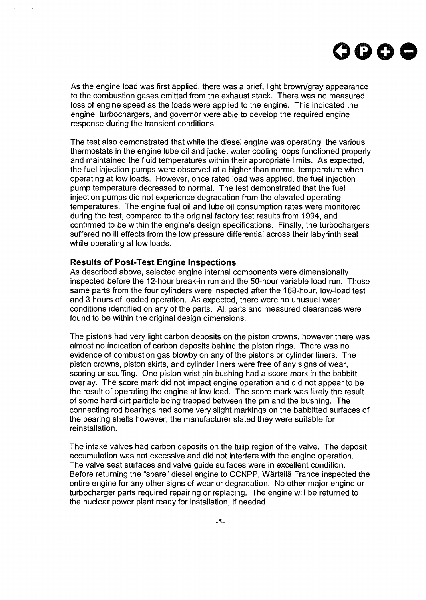

As the engine load was first applied, there was a brief, light brown/gray appearance to the combustion gases emitted from the exhaust stack. There was no measured loss of engine speed as the loads were applied to the engine. This indicated the engine, turbochargers, and governor were able to develop the required engine response during the transient conditions.

The test also demonstrated that while the diesel engine was operating, the various thermostats in the engine lube oil and jacket water cooling loops functioned properly and maintained the fluid temperatures within their appropriate limits. As expected, the fuel injection pumps were observed at a higher than normal temperature when operating at low loads. However, once rated load was applied, the fuel injection pump temperature decreased to normal. The test demonstrated that the fuel injection pumps did not experience degradation from the elevated operating temperatures. The engine fuel oil and lube oil consumption rates were monitored during the test, compared to the original factory test results from 1994, and confirmed to be within the engine's design specifications. Finally, the turbochargers suffered no ill effects from the low pressure differential across their labyrinth seal while operating at low loads.

#### **Results of Post-Test Engine Inspections**

As described above, selected engine internal components were dimensionally inspected before the 12-hour break-in run and the 50-hour variable load run. Those same parts from the four cylinders were inspected after the 168-hour, low-load test and 3 hours of loaded operation. As expected, there were no unusual wear conditions identified on any of the parts. All parts and measured clearances were found to be within the original design dimensions.

The pistons had very light carbon deposits on the piston crowns, however there was almost no indication of carbon deposits behind the piston rings. There was no evidence of combustion gas blowby on any of the pistons or cylinder liners. The piston crowns, piston skirts, and cylinder liners were free of any signs of wear, scoring or scuffing. One piston wrist pin bushing had a score mark in the babbitt overlay. The score mark did not impact engine operation and did not appear to be the result of operating the engine at low load. The score mark was likely the result of some hard dirt particle being trapped between the pin and the bushing. The connecting rod bearings had some very slight markings on the babbitted surfaces of the bearing shells however, the manufacturer stated they were suitable for reinstallation.

The intake valves had carbon deposits on the tulip region of the valve. The deposit accumulation was not excessive and did not interfere with the engine operation. The valve seat surfaces and valve guide surfaces were in excellent condition. Before returning the "spare" diesel engine to CCNPP, Wartsila France inspected the entire engine for any other signs of wear or degradation. No other major engine or turbocharger parts required repairing or replacing. The engine will be returned to the nuclear power plant ready for installation, if needed.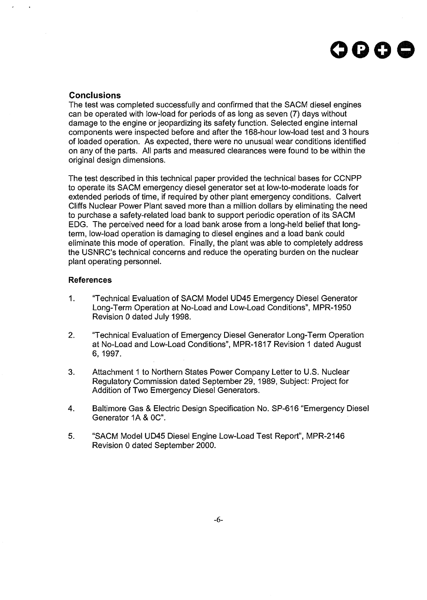

### **Conclusions**

The test was completed successfully and confirmed that the SACM diesel engines can be operated with low-load for periods of as long as seven (7) days without damage to the engine or jeopardizing its safety function. Selected engine internal components were inspected before and after the 168-hour low-load test and 3 hours of loaded operation. As expected, there were no unusual wear conditions identified on any of the parts. All parts and measured clearances were found to be within the original design dimensions.

The test described in this technical paper provided the technical bases for CCNPP to operate its SACM emergency diesel generator set at low-to-moderate loads for extended periods of time, if required by other plant emergency conditions. Calvert Cliffs Nuclear Power Plant saved more than a million dollars by eliminating the need to purchase a safety-related load bank to support periodic operation of its SACM EDG. The perceived need for a load bank arose from a long-held belief that longterm, low-load operation is damaging to diesel engines and a load bank could eliminate this mode of operation. Finally, the plant was able to completely address the USNRC's technical concerns and reduce the operating burden on the nuclear plant operating personnel.

#### **References**

- 1. "Technical Evaluation of SACM Model UD45 Emergency Diesel Generator Long-Term Operation at No-Load and Low-Load Conditions", MPR-1950 Revision 0 dated July 1998.
- 2. "Technical Evaluation of Emergency Diesel Generator Long-Term Operation at No-Load and Low-Load Conditions", MPR-1817 Revision 1 dated August 6, 1997.
- 3. Attachment 1 to Northern States Power Company Letter to U.S. Nuclear Regulatory Commission dated September 29, 1989, Subject: Project for Addition of Two Emergency Diesel Generators.
- 4. Baltimore Gas & Electric Design Specification No. SP-616 "Emergency Diesel Generator 1A&0C".
- 5. "SACM Model UD45 Diesel Engine Low-Load Test Report", MPR-2146 Revision 0 dated September 2000.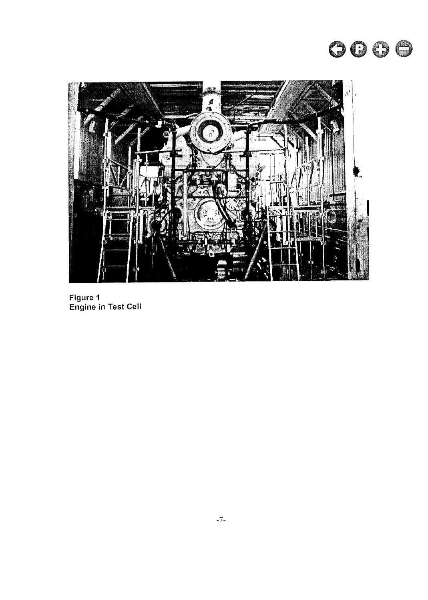



Figure 1 Engine in Test Cell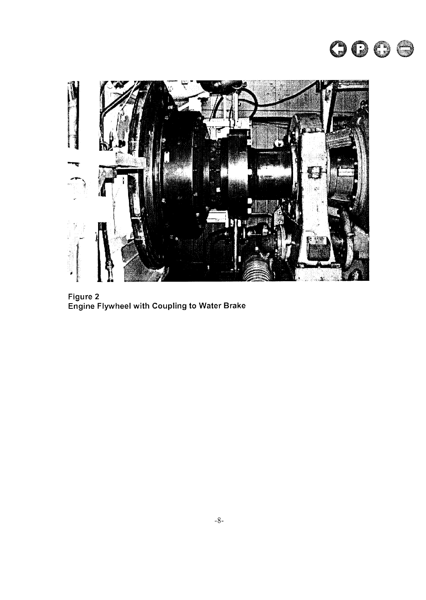



Figure 2 Engine Flywheel with Coupling to Water Brake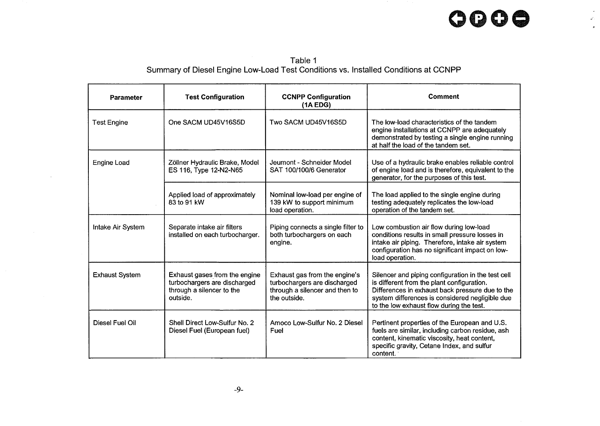# **oooe**

 $\mathbf{r}$ أبال  $\bar{\kappa}$ 

Table 1 Summary of Diesel Engine Low-Load Test Conditions vs. Installed Conditions at CCNPP

| <b>Parameter</b>      | <b>Test Configuration</b>                                                                              | <b>CCNPP Configuration</b><br>(1A EDG)                                                                          | Comment                                                                                                                                                                                                                                            |
|-----------------------|--------------------------------------------------------------------------------------------------------|-----------------------------------------------------------------------------------------------------------------|----------------------------------------------------------------------------------------------------------------------------------------------------------------------------------------------------------------------------------------------------|
| <b>Test Engine</b>    | One SACM UD45V16S5D                                                                                    | Two SACM UD45V16S5D                                                                                             | The low-load characteristics of the tandem<br>engine installations at CCNPP are adequately<br>demonstrated by testing a single engine running<br>at half the load of the tandem set.                                                               |
| <b>Engine Load</b>    | Zöllner Hydraulic Brake, Model<br>ES 116, Type 12-N2-N65                                               | Jeumont - Schneider Model<br>SAT 100/100/6 Generator                                                            | Use of a hydraulic brake enables reliable control<br>of engine load and is therefore, equivalent to the<br>generator, for the purposes of this test.                                                                                               |
|                       | Applied load of approximately<br>83 to 91 kW                                                           | Nominal low-load per engine of<br>139 kW to support minimum<br>load operation.                                  | The load applied to the single engine during<br>testing adequately replicates the low-load<br>operation of the tandem set.                                                                                                                         |
| Intake Air System     | Separate intake air filters<br>installed on each turbocharger.                                         | Piping connects a single filter to<br>both turbochargers on each<br>engine.                                     | Low combustion air flow during low-load<br>conditions results in small pressure losses in<br>intake air piping. Therefore, intake air system<br>configuration has no significant impact on low-<br>load operation.                                 |
| <b>Exhaust System</b> | Exhaust gases from the engine<br>turbochargers are discharged<br>through a silencer to the<br>outside. | Exhaust gas from the engine's<br>turbochargers are discharged<br>through a silencer and then to<br>the outside. | Silencer and piping configuration in the test cell<br>is different from the plant configuration.<br>Differences in exhaust back pressure due to the<br>system differences is considered negligible due<br>to the low exhaust flow during the test. |
| Diesel Fuel Oil       | Shell Direct Low-Sulfur No. 2<br>Diesel Fuel (European fuel)                                           | Amoco Low-Sulfur No. 2 Diesel<br>Fuel                                                                           | Pertinent properties of the European and U.S.<br>fuels are similar, including carbon residue, ash<br>content, kinematic viscosity, heat content,<br>specific gravity, Cetane Index, and sulfur<br>content.                                         |

 $\sim$